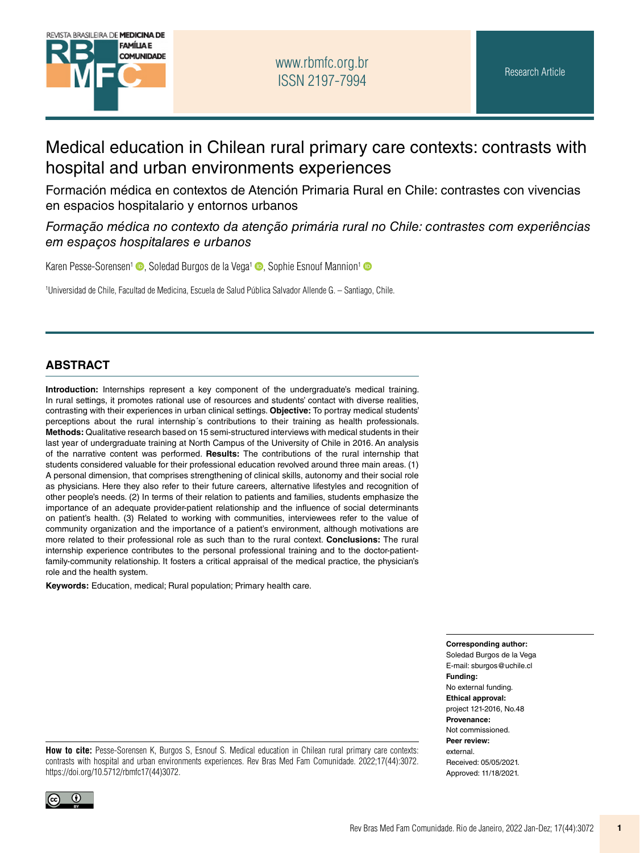

# Medical education in Chilean rural primary care contexts: contrasts with hospital and urban environments experiences

Formación médica en contextos de Atención Primaria Rural en Chile: contrastes con vivencias en espacios hospitalario y entornos urbanos

*Formação médica no contexto da atenção primária rural no Chile: contrastes com experiências em espaços hospitalares e urbanos*

Karen Pesse-Sorensen<sup>[1](https://orcid.org/0000-0003-4002-0826)</sup> (D. Soledad Burgos de la Vega<sup>1</sup> (D. Sophie Esnouf Mannion<sup>1</sup> (D

1 Universidad de Chile, Facultad de Medicina, Escuela de Salud Pública Salvador Allende G. – Santiago, Chile.

#### **ABSTRACT**

**Introduction:** Internships represent a key component of the undergraduate's medical training. In rural settings, it promotes rational use of resources and students' contact with diverse realities, contrasting with their experiences in urban clinical settings. **Objective:** To portray medical students' perceptions about the rural internship´s contributions to their training as health professionals. **Methods:** Qualitative research based on 15 semi-structured interviews with medical students in their last year of undergraduate training at North Campus of the University of Chile in 2016. An analysis of the narrative content was performed. **Results:** The contributions of the rural internship that students considered valuable for their professional education revolved around three main areas. (1) A personal dimension, that comprises strengthening of clinical skills, autonomy and their social role as physicians. Here they also refer to their future careers, alternative lifestyles and recognition of other people's needs. (2) In terms of their relation to patients and families, students emphasize the importance of an adequate provider-patient relationship and the influence of social determinants on patient's health. (3) Related to working with communities, interviewees refer to the value of community organization and the importance of a patient's environment, although motivations are more related to their professional role as such than to the rural context. **Conclusions:** The rural internship experience contributes to the personal professional training and to the doctor-patientfamily-community relationship. It fosters a critical appraisal of the medical practice, the physician's role and the health system.

**Keywords:** Education, medical; Rural population; Primary health care.

**Corresponding author:**  Soledad Burgos de la Vega E-mail: [sburgos@uchile.cl](mailto:sburgos@uchile.cl)  **Funding:**  No external funding. **Ethical approval:**  project 121-2016, No.48 **Provenance:**  Not commissioned. **Peer review:**  external. Received: 05/05/2021.

**How to cite:** Pesse-Sorensen K, Burgos S, Esnouf S. Medical education in Chilean rural primary care contexts: contrasts with hospital and urban environments experiences. Rev Bras Med Fam Comunidade. 2022;17(44):3072. [https://doi.org/10.5712/rbmfc17\(44\)3072](https://doi.org/10.5712/rbmfc17(44)3072).



Approved: 11/18/2021.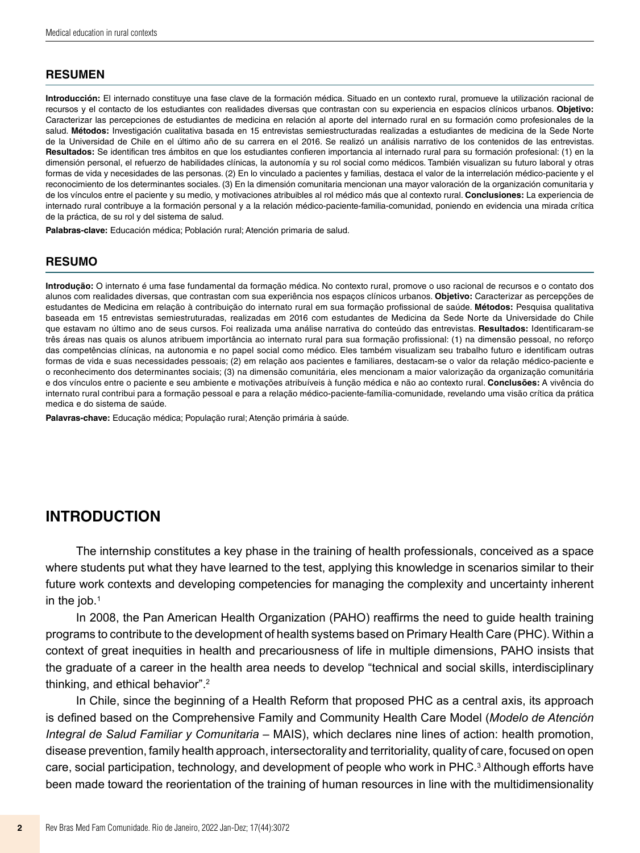#### **RESUMEN**

**Introducción:** El internado constituye una fase clave de la formación médica. Situado en un contexto rural, promueve la utilización racional de recursos y el contacto de los estudiantes con realidades diversas que contrastan con su experiencia en espacios clínicos urbanos. **Objetivo:** Caracterizar las percepciones de estudiantes de medicina en relación al aporte del internado rural en su formación como profesionales de la salud. **Métodos:** Investigación cualitativa basada en 15 entrevistas semiestructuradas realizadas a estudiantes de medicina de la Sede Norte de la Universidad de Chile en el último año de su carrera en el 2016. Se realizó un análisis narrativo de los contenidos de las entrevistas. **Resultados:** Se identifican tres ámbitos en que los estudiantes confieren importancia al internado rural para su formación profesional: (1) en la dimensión personal, el refuerzo de habilidades clínicas, la autonomía y su rol social como médicos. También visualizan su futuro laboral y otras formas de vida y necesidades de las personas. (2) En lo vinculado a pacientes y familias, destaca el valor de la interrelación médico-paciente y el reconocimiento de los determinantes sociales. (3) En la dimensión comunitaria mencionan una mayor valoración de la organización comunitaria y de los vínculos entre el paciente y su medio, y motivaciones atribuibles al rol médico más que al contexto rural. **Conclusiones:** La experiencia de internado rural contribuye a la formación personal y a la relación médico-paciente-familia-comunidad, poniendo en evidencia una mirada crítica de la práctica, de su rol y del sistema de salud.

**Palabras-clave:** Educación médica; Población rural; Atención primaria de salud.

#### **RESUMO**

**Introdução:** O internato é uma fase fundamental da formação médica. No contexto rural, promove o uso racional de recursos e o contato dos alunos com realidades diversas, que contrastan com sua experiência nos espaços clínicos urbanos. **Objetivo:** Caracterizar as percepções de estudantes de Medicina em relação à contribuição do internato rural em sua formação profissional de saúde. **Métodos:** Pesquisa qualitativa baseada em 15 entrevistas semiestruturadas, realizadas em 2016 com estudantes de Medicina da Sede Norte da Universidade do Chile que estavam no último ano de seus cursos. Foi realizada uma análise narrativa do conteúdo das entrevistas. **Resultados:** Identificaram-se três áreas nas quais os alunos atribuem importância ao internato rural para sua formação profissional: (1) na dimensão pessoal, no reforço das competências clínicas, na autonomia e no papel social como médico. Eles também visualizam seu trabalho futuro e identificam outras formas de vida e suas necessidades pessoais; (2) em relação aos pacientes e familiares, destacam-se o valor da relação médico-paciente e o reconhecimento dos determinantes sociais; (3) na dimensão comunitária, eles mencionam a maior valorização da organização comunitária e dos vínculos entre o paciente e seu ambiente e motivações atribuíveis à função médica e não ao contexto rural. **Conclusões:** A vivência do internato rural contribui para a formação pessoal e para a relação médico-paciente-família-comunidade, revelando uma visão crítica da prática medica e do sistema de saúde.

**Palavras-chave:** Educação médica; População rural; Atenção primária à saúde.

### **INTRODUCTION**

The internship constitutes a key phase in the training of health professionals, conceived as a space where students put what they have learned to the test, applying this knowledge in scenarios similar to their future work contexts and developing competencies for managing the complexity and uncertainty inherent in the job. $1$ 

In 2008, the Pan American Health Organization (PAHO) reaffirms the need to guide health training programs to contribute to the development of health systems based on Primary Health Care (PHC). Within a context of great inequities in health and precariousness of life in multiple dimensions, PAHO insists that the graduate of a career in the health area needs to develop "technical and social skills, interdisciplinary thinking, and ethical behavior".2

In Chile, since the beginning of a Health Reform that proposed PHC as a central axis, its approach is defined based on the Comprehensive Family and Community Health Care Model (*Modelo de Atención Integral de Salud Familiar y Comunitaria –* MAIS), which declares nine lines of action: health promotion, disease prevention, family health approach, intersectorality and territoriality, quality of care, focused on open care, social participation, technology, and development of people who work in PHC.<sup>3</sup> Although efforts have been made toward the reorientation of the training of human resources in line with the multidimensionality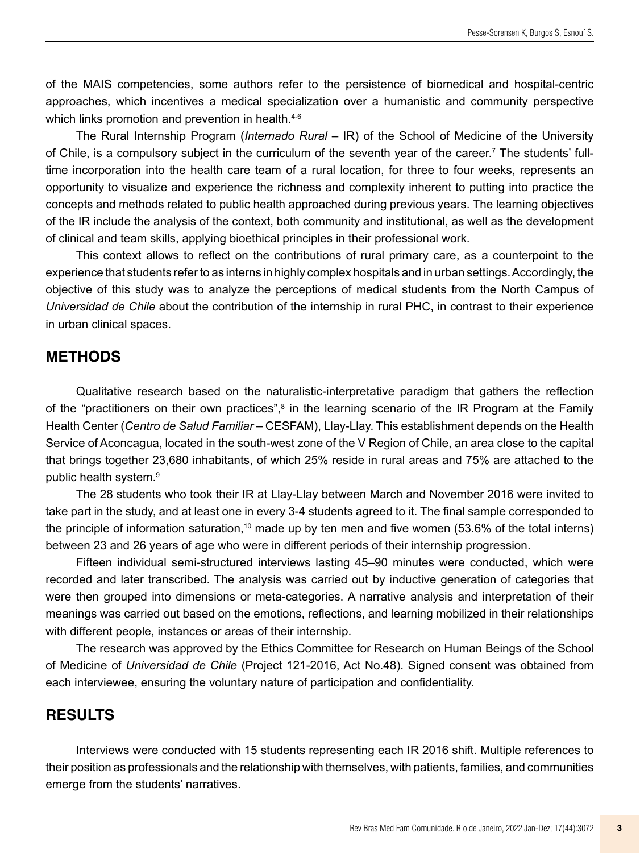of the MAIS competencies, some authors refer to the persistence of biomedical and hospital-centric approaches, which incentives a medical specialization over a humanistic and community perspective which links promotion and prevention in health.<sup>4-6</sup>

The Rural Internship Program (*Internado Rural* – IR) of the School of Medicine of the University of Chile, is a compulsory subject in the curriculum of the seventh year of the career.<sup>7</sup> The students' fulltime incorporation into the health care team of a rural location, for three to four weeks, represents an opportunity to visualize and experience the richness and complexity inherent to putting into practice the concepts and methods related to public health approached during previous years. The learning objectives of the IR include the analysis of the context, both community and institutional, as well as the development of clinical and team skills, applying bioethical principles in their professional work.

This context allows to reflect on the contributions of rural primary care, as a counterpoint to the experience that students refer to as interns in highly complex hospitals and in urban settings. Accordingly, the objective of this study was to analyze the perceptions of medical students from the North Campus of *Universidad de Chile* about the contribution of the internship in rural PHC, in contrast to their experience in urban clinical spaces.

### **METHODS**

Qualitative research based on the naturalistic-interpretative paradigm that gathers the reflection of the "practitioners on their own practices",<sup>8</sup> in the learning scenario of the IR Program at the Family Health Center (*Centro de Salud Familiar* – CESFAM), Llay-Llay. This establishment depends on the Health Service of Aconcagua, located in the south-west zone of the V Region of Chile, an area close to the capital that brings together 23,680 inhabitants, of which 25% reside in rural areas and 75% are attached to the public health system.9

The 28 students who took their IR at Llay-Llay between March and November 2016 were invited to take part in the study, and at least one in every 3-4 students agreed to it. The final sample corresponded to the principle of information saturation,<sup>10</sup> made up by ten men and five women (53.6% of the total interns) between 23 and 26 years of age who were in different periods of their internship progression.

Fifteen individual semi-structured interviews lasting 45–90 minutes were conducted, which were recorded and later transcribed. The analysis was carried out by inductive generation of categories that were then grouped into dimensions or meta-categories. A narrative analysis and interpretation of their meanings was carried out based on the emotions, reflections, and learning mobilized in their relationships with different people, instances or areas of their internship.

The research was approved by the Ethics Committee for Research on Human Beings of the School of Medicine of *Universidad de Chile* (Project 121-2016, Act No.48). Signed consent was obtained from each interviewee, ensuring the voluntary nature of participation and confidentiality.

### **RESULTS**

Interviews were conducted with 15 students representing each IR 2016 shift. Multiple references to their position as professionals and the relationship with themselves, with patients, families, and communities emerge from the students' narratives.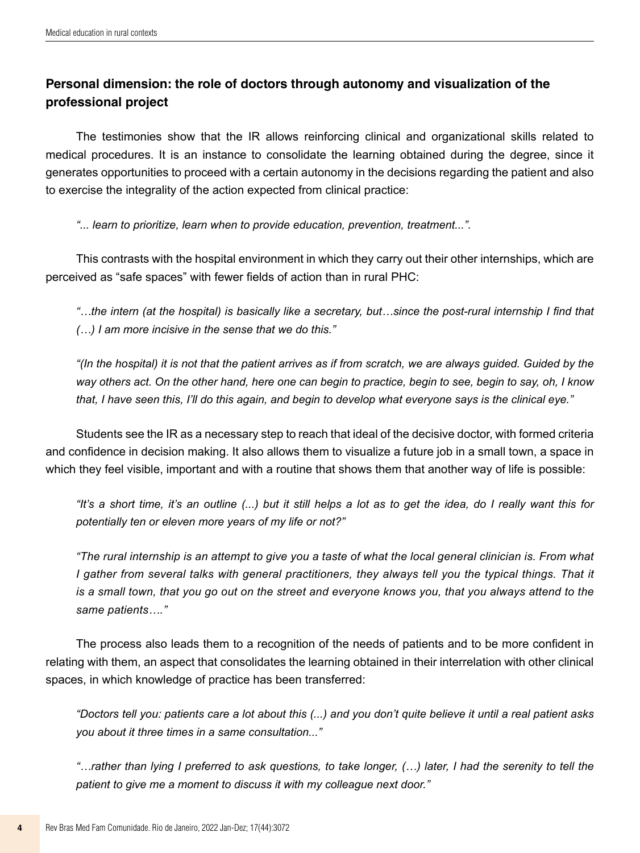# **Personal dimension: the role of doctors through autonomy and visualization of the professional project**

The testimonies show that the IR allows reinforcing clinical and organizational skills related to medical procedures. It is an instance to consolidate the learning obtained during the degree, since it generates opportunities to proceed with a certain autonomy in the decisions regarding the patient and also to exercise the integrality of the action expected from clinical practice:

*"... learn to prioritize, learn when to provide education, prevention, treatment...".*

This contrasts with the hospital environment in which they carry out their other internships, which are perceived as "safe spaces" with fewer fields of action than in rural PHC:

*"…the intern (at the hospital) is basically like a secretary, but…since the post-rural internship I find that (…) I am more incisive in the sense that we do this."* 

*"(In the hospital) it is not that the patient arrives as if from scratch, we are always guided. Guided by the way others act. On the other hand, here one can begin to practice, begin to see, begin to say, oh, I know that, I have seen this, I'll do this again, and begin to develop what everyone says is the clinical eye."* 

Students see the IR as a necessary step to reach that ideal of the decisive doctor, with formed criteria and confidence in decision making. It also allows them to visualize a future job in a small town, a space in which they feel visible, important and with a routine that shows them that another way of life is possible:

*"It's a short time, it's an outline (...) but it still helps a lot as to get the idea, do I really want this for potentially ten or eleven more years of my life or not?"*

*"The rural internship is an attempt to give you a taste of what the local general clinician is. From what I gather from several talks with general practitioners, they always tell you the typical things. That it is a small town, that you go out on the street and everyone knows you, that you always attend to the same patients…."* 

The process also leads them to a recognition of the needs of patients and to be more confident in relating with them, an aspect that consolidates the learning obtained in their interrelation with other clinical spaces, in which knowledge of practice has been transferred:

*"Doctors tell you: patients care a lot about this (...) and you don't quite believe it until a real patient asks you about it three times in a same consultation..."* 

*"…rather than lying I preferred to ask questions, to take longer, (…) later, I had the serenity to tell the patient to give me a moment to discuss it with my colleague next door."*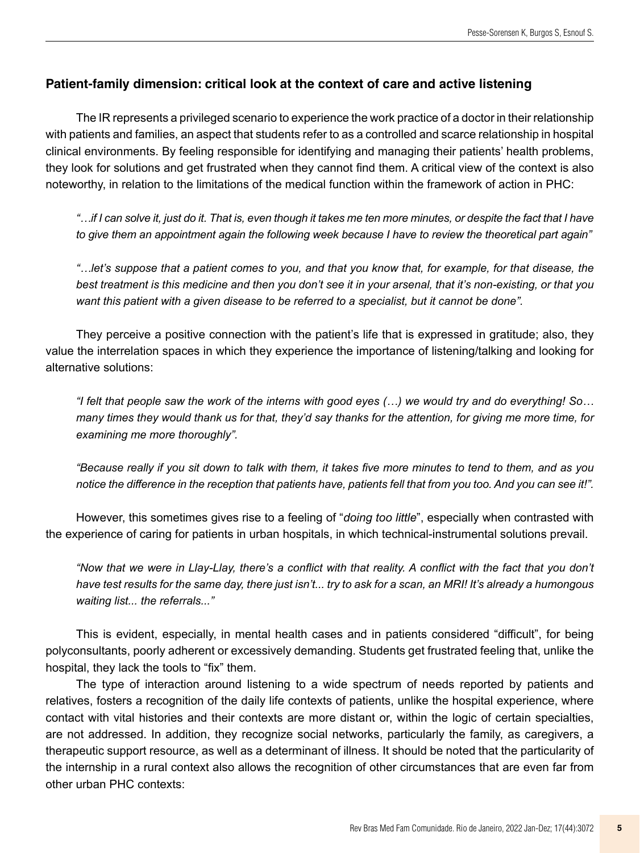#### **Patient-family dimension: critical look at the context of care and active listening**

The IR represents a privileged scenario to experience the work practice of a doctor in their relationship with patients and families, an aspect that students refer to as a controlled and scarce relationship in hospital clinical environments. By feeling responsible for identifying and managing their patients' health problems, they look for solutions and get frustrated when they cannot find them. A critical view of the context is also noteworthy, in relation to the limitations of the medical function within the framework of action in PHC:

*"…if I can solve it, just do it. That is, even though it takes me ten more minutes, or despite the fact that I have to give them an appointment again the following week because I have to review the theoretical part again"* 

*"…let's suppose that a patient comes to you, and that you know that, for example, for that disease, the best treatment is this medicine and then you don't see it in your arsenal, that it's non-existing, or that you want this patient with a given disease to be referred to a specialist, but it cannot be done".* 

They perceive a positive connection with the patient's life that is expressed in gratitude; also, they value the interrelation spaces in which they experience the importance of listening/talking and looking for alternative solutions:

*"I felt that people saw the work of the interns with good eyes (…) we would try and do everything! So… many times they would thank us for that, they'd say thanks for the attention, for giving me more time, for examining me more thoroughly".* 

*"Because really if you sit down to talk with them, it takes five more minutes to tend to them, and as you notice the difference in the reception that patients have, patients fell that from you too. And you can see it!".* 

However, this sometimes gives rise to a feeling of "*doing too little*", especially when contrasted with the experience of caring for patients in urban hospitals, in which technical-instrumental solutions prevail.

"Now that we were in Llay-Llay, there's a conflict with that reality. A conflict with the fact that you don't *have test results for the same day, there just isn't... try to ask for a scan, an MRI! It's already a humongous waiting list... the referrals..."*

This is evident, especially, in mental health cases and in patients considered "difficult", for being polyconsultants, poorly adherent or excessively demanding. Students get frustrated feeling that, unlike the hospital, they lack the tools to "fix" them.

The type of interaction around listening to a wide spectrum of needs reported by patients and relatives, fosters a recognition of the daily life contexts of patients, unlike the hospital experience, where contact with vital histories and their contexts are more distant or, within the logic of certain specialties, are not addressed. In addition, they recognize social networks, particularly the family, as caregivers, a therapeutic support resource, as well as a determinant of illness. It should be noted that the particularity of the internship in a rural context also allows the recognition of other circumstances that are even far from other urban PHC contexts: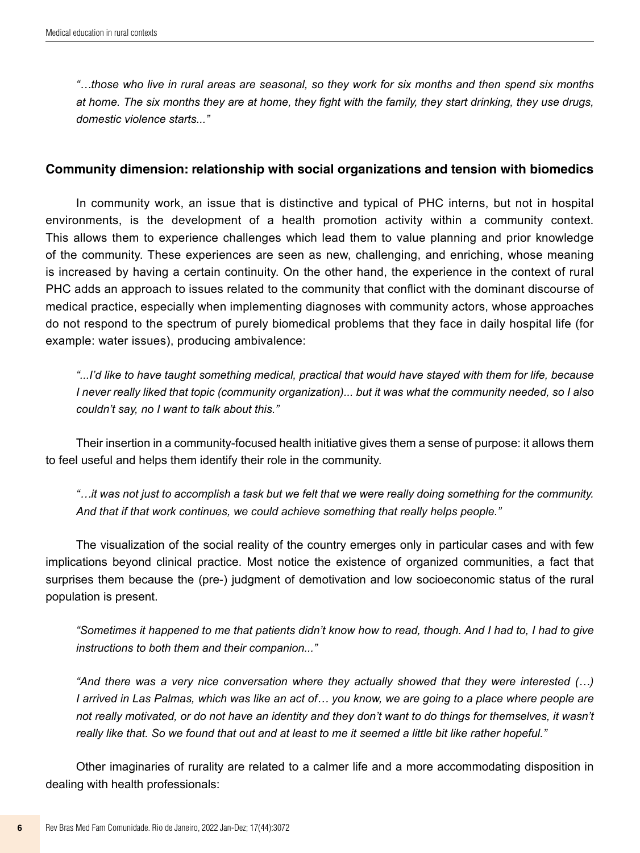*"…those who live in rural areas are seasonal, so they work for six months and then spend six months at home. The six months they are at home, they fight with the family, they start drinking, they use drugs, domestic violence starts..."* 

#### **Community dimension: relationship with social organizations and tension with biomedics**

In community work, an issue that is distinctive and typical of PHC interns, but not in hospital environments, is the development of a health promotion activity within a community context. This allows them to experience challenges which lead them to value planning and prior knowledge of the community. These experiences are seen as new, challenging, and enriching, whose meaning is increased by having a certain continuity. On the other hand, the experience in the context of rural PHC adds an approach to issues related to the community that conflict with the dominant discourse of medical practice, especially when implementing diagnoses with community actors, whose approaches do not respond to the spectrum of purely biomedical problems that they face in daily hospital life (for example: water issues), producing ambivalence:

*"...I'd like to have taught something medical, practical that would have stayed with them for life, because I never really liked that topic (community organization)... but it was what the community needed, so I also couldn't say, no I want to talk about this."* 

Their insertion in a community-focused health initiative gives them a sense of purpose: it allows them to feel useful and helps them identify their role in the community.

*"…it was not just to accomplish a task but we felt that we were really doing something for the community. And that if that work continues, we could achieve something that really helps people."* 

The visualization of the social reality of the country emerges only in particular cases and with few implications beyond clinical practice. Most notice the existence of organized communities, a fact that surprises them because the (pre-) judgment of demotivation and low socioeconomic status of the rural population is present.

*"Sometimes it happened to me that patients didn't know how to read, though. And I had to, I had to give instructions to both them and their companion..."* 

*"And there was a very nice conversation where they actually showed that they were interested (…) I arrived in Las Palmas, which was like an act of… you know, we are going to a place where people are*  not really motivated, or do not have an identity and they don't want to do things for themselves, it wasn't *really like that. So we found that out and at least to me it seemed a little bit like rather hopeful."* 

Other imaginaries of rurality are related to a calmer life and a more accommodating disposition in dealing with health professionals: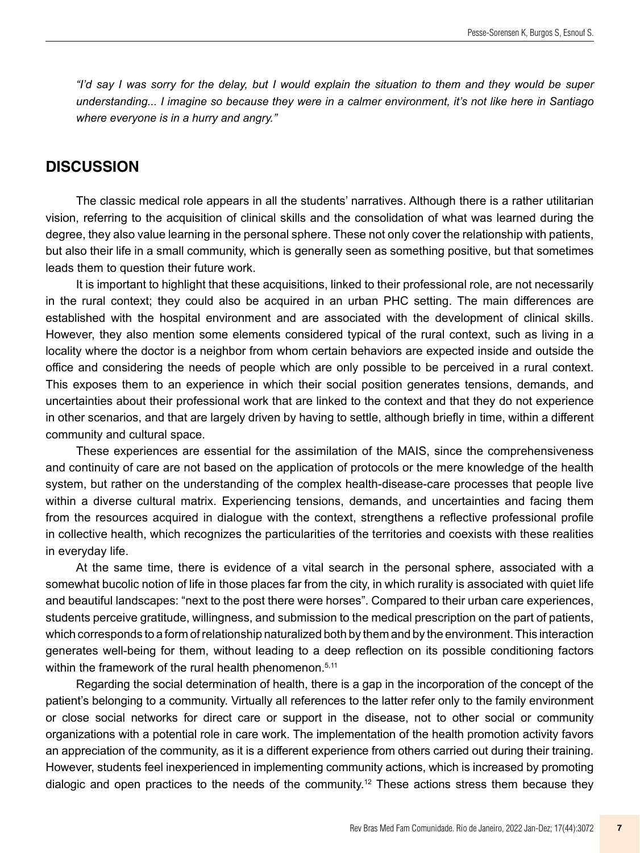*"I'd say I was sorry for the delay, but I would explain the situation to them and they would be super understanding... I imagine so because they were in a calmer environment, it's not like here in Santiago where everyone is in a hurry and angry."*

### **DISCUSSION**

The classic medical role appears in all the students' narratives. Although there is a rather utilitarian vision, referring to the acquisition of clinical skills and the consolidation of what was learned during the degree, they also value learning in the personal sphere. These not only cover the relationship with patients, but also their life in a small community, which is generally seen as something positive, but that sometimes leads them to question their future work.

It is important to highlight that these acquisitions, linked to their professional role, are not necessarily in the rural context; they could also be acquired in an urban PHC setting. The main differences are established with the hospital environment and are associated with the development of clinical skills. However, they also mention some elements considered typical of the rural context, such as living in a locality where the doctor is a neighbor from whom certain behaviors are expected inside and outside the office and considering the needs of people which are only possible to be perceived in a rural context. This exposes them to an experience in which their social position generates tensions, demands, and uncertainties about their professional work that are linked to the context and that they do not experience in other scenarios, and that are largely driven by having to settle, although briefly in time, within a different community and cultural space.

These experiences are essential for the assimilation of the MAIS, since the comprehensiveness and continuity of care are not based on the application of protocols or the mere knowledge of the health system, but rather on the understanding of the complex health-disease-care processes that people live within a diverse cultural matrix. Experiencing tensions, demands, and uncertainties and facing them from the resources acquired in dialogue with the context, strengthens a reflective professional profile in collective health, which recognizes the particularities of the territories and coexists with these realities in everyday life.

At the same time, there is evidence of a vital search in the personal sphere, associated with a somewhat bucolic notion of life in those places far from the city, in which rurality is associated with quiet life and beautiful landscapes: "next to the post there were horses". Compared to their urban care experiences, students perceive gratitude, willingness, and submission to the medical prescription on the part of patients, which corresponds to a form of relationship naturalized both by them and by the environment. This interaction generates well-being for them, without leading to a deep reflection on its possible conditioning factors within the framework of the rural health phenomenon.<sup>5,11</sup>

Regarding the social determination of health, there is a gap in the incorporation of the concept of the patient's belonging to a community. Virtually all references to the latter refer only to the family environment or close social networks for direct care or support in the disease, not to other social or community organizations with a potential role in care work. The implementation of the health promotion activity favors an appreciation of the community, as it is a different experience from others carried out during their training. However, students feel inexperienced in implementing community actions, which is increased by promoting dialogic and open practices to the needs of the community.12 These actions stress them because they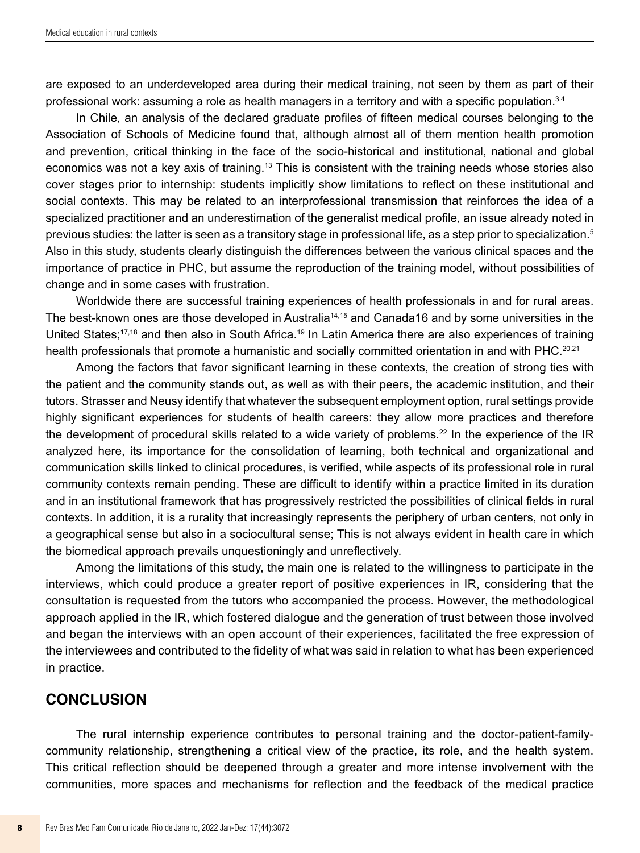are exposed to an underdeveloped area during their medical training, not seen by them as part of their professional work: assuming a role as health managers in a territory and with a specific population.3,4

In Chile, an analysis of the declared graduate profiles of fifteen medical courses belonging to the Association of Schools of Medicine found that, although almost all of them mention health promotion and prevention, critical thinking in the face of the socio-historical and institutional, national and global economics was not a key axis of training.13 This is consistent with the training needs whose stories also cover stages prior to internship: students implicitly show limitations to reflect on these institutional and social contexts. This may be related to an interprofessional transmission that reinforces the idea of a specialized practitioner and an underestimation of the generalist medical profile, an issue already noted in previous studies: the latter is seen as a transitory stage in professional life, as a step prior to specialization.5 Also in this study, students clearly distinguish the differences between the various clinical spaces and the importance of practice in PHC, but assume the reproduction of the training model, without possibilities of change and in some cases with frustration.

Worldwide there are successful training experiences of health professionals in and for rural areas. The best-known ones are those developed in Australia<sup>14,15</sup> and Canada16 and by some universities in the United States;<sup>17,18</sup> and then also in South Africa.<sup>19</sup> In Latin America there are also experiences of training health professionals that promote a humanistic and socially committed orientation in and with PHC.<sup>20,21</sup>

Among the factors that favor significant learning in these contexts, the creation of strong ties with the patient and the community stands out, as well as with their peers, the academic institution, and their tutors. Strasser and Neusy identify that whatever the subsequent employment option, rural settings provide highly significant experiences for students of health careers: they allow more practices and therefore the development of procedural skills related to a wide variety of problems.<sup>22</sup> In the experience of the IR analyzed here, its importance for the consolidation of learning, both technical and organizational and communication skills linked to clinical procedures, is verified, while aspects of its professional role in rural community contexts remain pending. These are difficult to identify within a practice limited in its duration and in an institutional framework that has progressively restricted the possibilities of clinical fields in rural contexts. In addition, it is a rurality that increasingly represents the periphery of urban centers, not only in a geographical sense but also in a sociocultural sense; This is not always evident in health care in which the biomedical approach prevails unquestioningly and unreflectively.

Among the limitations of this study, the main one is related to the willingness to participate in the interviews, which could produce a greater report of positive experiences in IR, considering that the consultation is requested from the tutors who accompanied the process. However, the methodological approach applied in the IR, which fostered dialogue and the generation of trust between those involved and began the interviews with an open account of their experiences, facilitated the free expression of the interviewees and contributed to the fidelity of what was said in relation to what has been experienced in practice.

### **CONCLUSION**

The rural internship experience contributes to personal training and the doctor-patient-familycommunity relationship, strengthening a critical view of the practice, its role, and the health system. This critical reflection should be deepened through a greater and more intense involvement with the communities, more spaces and mechanisms for reflection and the feedback of the medical practice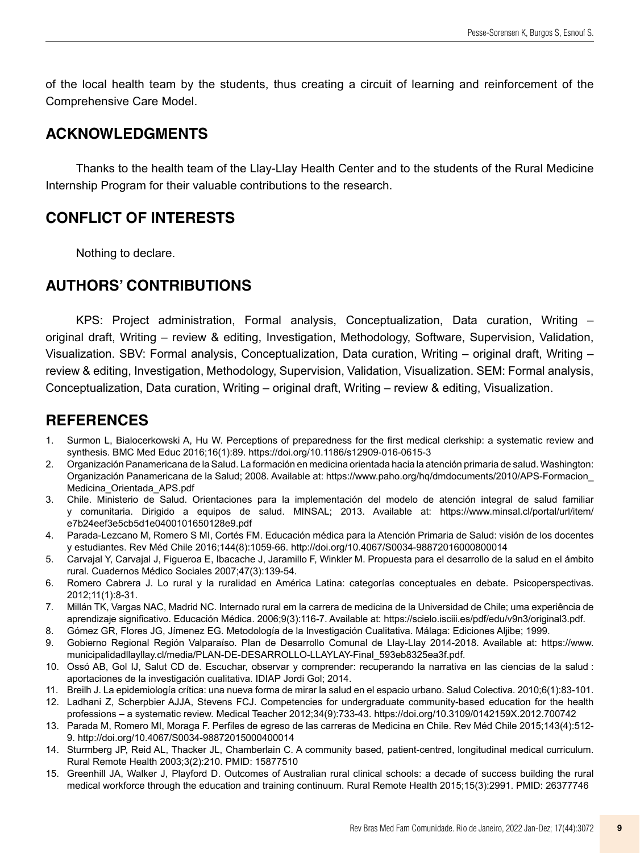of the local health team by the students, thus creating a circuit of learning and reinforcement of the Comprehensive Care Model.

# **ACKNOWLEDGMENTS**

Thanks to the health team of the Llay-Llay Health Center and to the students of the Rural Medicine Internship Program for their valuable contributions to the research.

# **CONFLICT OF INTERESTS**

Nothing to declare.

# **AUTHORS' CONTRIBUTIONS**

KPS: Project administration, Formal analysis, Conceptualization, Data curation, Writing – original draft, Writing – review & editing, Investigation, Methodology, Software, Supervision, Validation, Visualization. SBV: Formal analysis, Conceptualization, Data curation, Writing – original draft, Writing – review & editing, Investigation, Methodology, Supervision, Validation, Visualization. SEM: Formal analysis, Conceptualization, Data curation, Writing – original draft, Writing – review & editing, Visualization.

# **REFERENCES**

- 1. Surmon L, Bialocerkowski A, Hu W. Perceptions of preparedness for the first medical clerkship: a systematic review and synthesis. BMC Med Educ 2016;16(1):89.<https://doi.org/10.1186/s12909-016-0615-3>
- 2. Organización Panamericana de la Salud. La formación en medicina orientada hacia la atención primaria de salud. Washington: Organización Panamericana de la Salud; 2008. Available at: [https://www.paho.org/hq/dmdocuments/2010/APS-Formacion\\_](https://www.paho.org/hq/dmdocuments/2010/APS-Formacion_Medicina_Orientada_APS.pdf) [Medicina\\_Orientada\\_APS.pdf](https://www.paho.org/hq/dmdocuments/2010/APS-Formacion_Medicina_Orientada_APS.pdf)
- 3. Chile. Ministerio de Salud. Orientaciones para la implementación del modelo de atención integral de salud familiar y comunitaria. Dirigido a equipos de salud. MINSAL; 2013. Available at: [https://www.minsal.cl/portal/url/item/](https://www.minsal.cl/portal/url/item/e7b24eef3e5cb5d1e0400101650128e9.pdf) [e7b24eef3e5cb5d1e0400101650128e9.pdf](https://www.minsal.cl/portal/url/item/e7b24eef3e5cb5d1e0400101650128e9.pdf)
- 4. Parada-Lezcano M, Romero S MI, Cortés FM. Educación médica para la Atención Primaria de Salud: visión de los docentes y estudiantes. Rev Méd Chile 2016;144(8):1059-66. <http://doi.org/10.4067/S0034-98872016000800014>
- 5. Carvajal Y, Carvajal J, Figueroa E, Ibacache J, Jaramillo F, Winkler M. Propuesta para el desarrollo de la salud en el ámbito rural. Cuadernos Médico Sociales 2007;47(3):139-54.
- 6. Romero Cabrera J. Lo rural y la ruralidad en América Latina: categorías conceptuales en debate. Psicoperspectivas. 2012;11(1):8-31.
- 7. Millán TK, Vargas NAC, Madrid NC. Internado rural em la carrera de medicina de la Universidad de Chile; uma experiência de aprendizaje significativo. Educación Médica. 2006;9(3):116-7. Available at: [https://scielo.isciii.es/pdf/edu/v9n3/original3.pdf.](https://scielo.isciii.es/pdf/edu/v9n3/original3.pdf)
- 8. Gómez GR, Flores JG, Jímenez EG. Metodología de la Investigación Cualitativa. Málaga: Ediciones Aljibe; 1999.
- 9. Gobierno Regional Región Valparaíso. Plan de Desarrollo Comunal de Llay-Llay 2014-2018. Available at: [https://www.](https://www.municipalidadllayllay.cl/media/PLAN-DE-DESARROLLO-LLAYLAY-Final_593eb8325ea3f.pdf) [municipalidadllayllay.cl/media/PLAN-DE-DESARROLLO-LLAYLAY-Final\\_593eb8325ea3f.pdf.](https://www.municipalidadllayllay.cl/media/PLAN-DE-DESARROLLO-LLAYLAY-Final_593eb8325ea3f.pdf)
- 10. Ossó AB, Gol IJ, Salut CD de. Escuchar, observar y comprender: recuperando la narrativa en las ciencias de la salud : aportaciones de la investigación cualitativa. IDIAP Jordi Gol; 2014.
- 11. Breilh J. La epidemiología crítica: una nueva forma de mirar la salud en el espacio urbano. Salud Colectiva. 2010;6(1):83-101.
- 12. Ladhani Z, Scherpbier AJJA, Stevens FCJ. Competencies for undergraduate community-based education for the health professions – a systematic review. Medical Teacher 2012;34(9):733-43.<https://doi.org/10.3109/0142159X.2012.700742>
- 13. Parada M, Romero MI, Moraga F. Perfiles de egreso de las carreras de Medicina en Chile. Rev Méd Chile 2015;143(4):512- 9.<http://doi.org/10.4067/S0034-98872015000400014>
- 14. Sturmberg JP, Reid AL, Thacker JL, Chamberlain C. A community based, patient-centred, longitudinal medical curriculum. Rural Remote Health 2003;3(2):210. PMID: 15877510
- 15. Greenhill JA, Walker J, Playford D. Outcomes of Australian rural clinical schools: a decade of success building the rural medical workforce through the education and training continuum. Rural Remote Health 2015;15(3):2991. PMID: 26377746